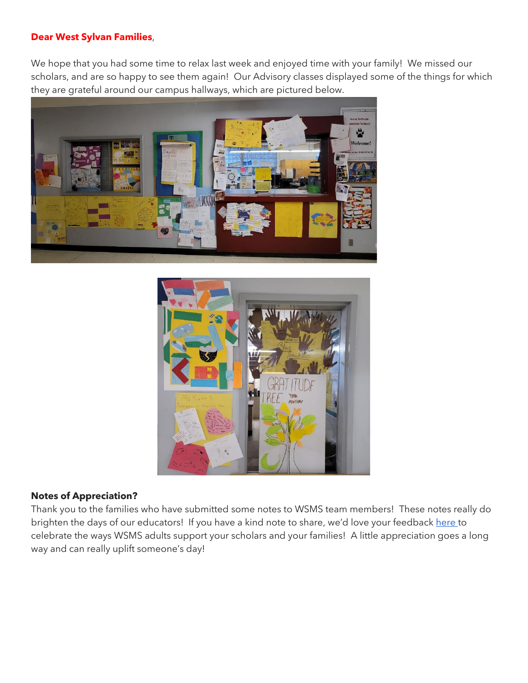#### **Dear West Sylvan Families**,

We hope that you had some time to relax last week and enjoyed time with your family! We missed our scholars, and are so happy to see them again! Our Advisory classes displayed some of the things for which they are grateful around our campus hallways, which are pictured below.





#### **Notes of Appreciation?**

Thank you to the families who have submitted some notes to WSMS team members! These notes really do brighten the days of our educators! If you have a kind note to share, we'd love your feedback [here t](https://forms.gle/3TsJKYDfcfbLhiKu7)o celebrate the ways WSMS adults support your scholars and your families! A little appreciation goes a long way and can really uplift someone's day!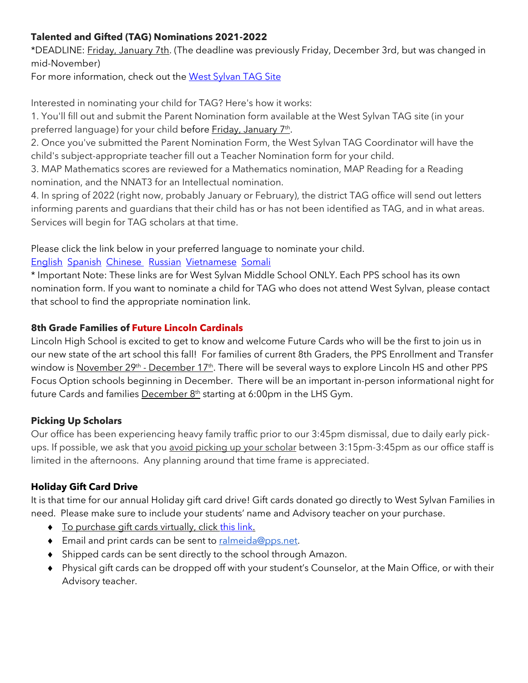# **Talented and Gifted (TAG) Nominations 2021-2022**

\*DEADLINE: Friday, January 7th. (The deadline was previously Friday, December 3rd, but was changed in mid-November)

For more information, check out the [West Sylvan TAG Site](https://sites.google.com/pps.net/west-sylvan-tag/)

Interested in nominating your child for TAG? Here's how it works:

1. You'll fill out and submit the Parent Nomination form available at the West Sylvan TAG site (in your preferred language) for your child before Friday, January 7<sup>th</sup>.

2. Once you've submitted the Parent Nomination Form, the West Sylvan TAG Coordinator will have the child's subject-appropriate teacher fill out a Teacher Nomination form for your child.

3. MAP Mathematics scores are reviewed for a Mathematics nomination, MAP Reading for a Reading nomination, and the NNAT3 for an Intellectual nomination.

4. In spring of 2022 (right now, probably January or February), the district TAG office will send out letters informing parents and guardians that their child has or has not been identified as TAG, and in what areas. Services will begin for TAG scholars at that time.

Please click the link below in your preferred language to nominate your child.

### [English](https://forms.gle/oKdyah1MXX1eN8WB6) [Spanish](https://forms.gle/b6VJZP69C2gqsgN3A) [Chinese](https://forms.gle/xd5drKJcwbqSYQXAA) [Russian](https://forms.gle/LmChwsdKZ1svWoB76) [Vietnamese](https://forms.gle/2sEfWP7EReDPZzRV7) [Somali](https://forms.gle/F4QvUYHYnHJEBtNMA)

\* Important Note: These links are for West Sylvan Middle School ONLY. Each PPS school has its own nomination form. If you want to nominate a child for TAG who does not attend West Sylvan, please contact that school to find the appropriate nomination link.

# **8th Grade Families of Future Lincoln Cardinals**

Lincoln High School is excited to get to know and welcome Future Cards who will be the first to join us in our new state of the art school this fall! For families of current 8th Graders, the PPS Enrollment and Transfer window is <u>November 29th - December 17th</u>. There will be several ways to explore Lincoln HS and other PPS Focus Option schools beginning in December. There will be an important in-person informational night for future Cards and families **December**  $8<sup>th</sup>$  starting at 6:00pm in the LHS Gym.

# **Picking Up Scholars**

Our office has been experiencing heavy family traffic prior to our 3:45pm dismissal, due to daily early pickups. If possible, we ask that you avoid picking up your scholar between 3:15pm-3:45pm as our office staff is limited in the afternoons. Any planning around that time frame is appreciated.

# **Holiday Gift Card Drive**

It is that time for our annual Holiday gift card drive! Gift cards donated go directly to West Sylvan Families in need. Please make sure to include your students' name and Advisory teacher on your purchase.

- ◆ To purchase gift cards virtually, click [this](https://www.amazon.com/hz/wishlist/ls/2712UQYQX8C1Y?ref_=wl_share) link.
- **Email and print cards can be sent to [ralmeida@pps.net.](mailto:ralmeida@pps.net)**
- Shipped cards can be sent directly to the school through Amazon.
- Physical gift cards can be dropped off with your student's Counselor, at the Main Office, or with their Advisory teacher.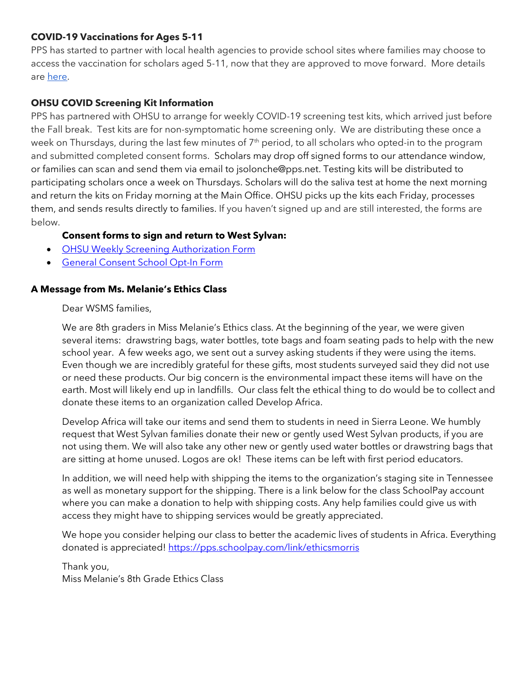#### **COVID-19 Vaccinations for Ages 5-11**

PPS has started to partner with local health agencies to provide school sites where families may choose to access the vaccination for scholars aged 5-11, now that they are approved to move forward. More details are [here.](https://www.pps.net/site/default.aspx?PageType=3&DomainID=4&ModuleInstanceID=1492&PageModuleInstanceID=1594&ViewID=ad4d6d9d-7046-48e7-a548-a6a23a68d076&RenderLoc=0&FlexDataID=173571&PageID=1)

# **OHSU COVID Screening Kit Information**

PPS has partnered with OHSU to arrange for weekly COVID-19 screening test kits, which arrived just before the Fall break. Test kits are for non-symptomatic home screening only. We are distributing these once a week on Thursdays, during the last few minutes of 7<sup>th</sup> period, to all scholars who opted-in to the program and submitted completed consent forms. Scholars may drop off signed forms to our attendance window, or families can scan and send them via email to jsolonche@pps.net. Testing kits will be distributed to participating scholars once a week on Thursdays. Scholars will do the saliva test at home the next morning and return the kits on Friday morning at the Main Office. OHSU picks up the kits each Friday, processes them, and sends results directly to families. If you haven't signed up and are still interested, the forms are below.

# **Consent forms to sign and return to West Sylvan:**

- [OHSU Weekly Screening Authorization Form](https://drive.google.com/file/d/1WKfLwknOXIYGfjiVTURKB7wvlQW8DAhR/view?usp=sharing)
- General Consent [School Opt-In Form](https://drive.google.com/file/d/1JELJW3M6_gp013Dp_Z7QDpvKmsqC5G-S/view?usp=sharing)

#### **A Message from Ms. Melanie's Ethics Class**

#### Dear WSMS families,

We are 8th graders in Miss Melanie's Ethics class. At the beginning of the year, we were given several items: drawstring bags, water bottles, tote bags and foam seating pads to help with the new school year. A few weeks ago, we sent out a survey asking students if they were using the items. Even though we are incredibly grateful for these gifts, most students surveyed said they did not use or need these products. Our big concern is the environmental impact these items will have on the earth. Most will likely end up in landfills. Our class felt the ethical thing to do would be to collect and donate these items to an organization called Develop Africa.

Develop Africa will take our items and send them to students in need in Sierra Leone. We humbly request that West Sylvan families donate their new or gently used West Sylvan products, if you are not using them. We will also take any other new or gently used water bottles or drawstring bags that are sitting at home unused. Logos are ok! These items can be left with first period educators.

In addition, we will need help with shipping the items to the organization's staging site in Tennessee as well as monetary support for the shipping. There is a link below for the class SchoolPay account where you can make a donation to help with shipping costs. Any help families could give us with access they might have to shipping services would be greatly appreciated.

We hope you consider helping our class to better the academic lives of students in Africa. Everything donated is appreciated! <https://pps.schoolpay.com/link/ethicsmorris>

Thank you, Miss Melanie's 8th Grade Ethics Class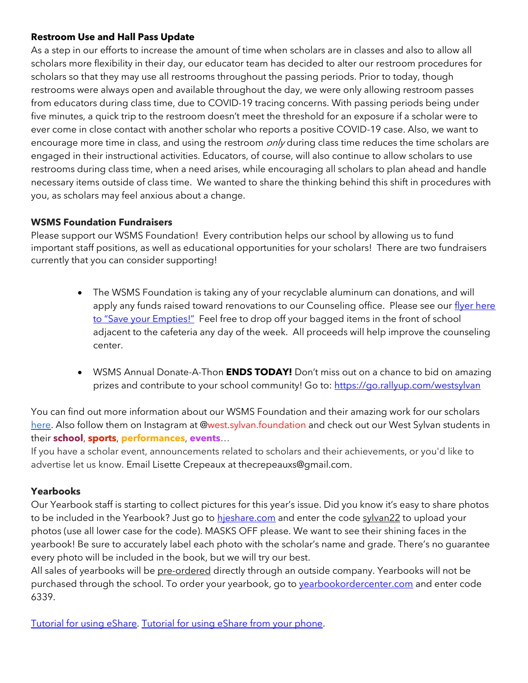#### **Restroom Use and Hall Pass Update**

As a step in our efforts to increase the amount of time when scholars are in classes and also to allow all scholars more flexibility in their day, our educator team has decided to alter our restroom procedures for scholars so that they may use all restrooms throughout the passing periods. Prior to today, though restrooms were always open and available throughout the day, we were only allowing restroom passes from educators during class time, due to COVID-19 tracing concerns. With passing periods being under five minutes, a quick trip to the restroom doesn't meet the threshold for an exposure if a scholar were to ever come in close contact with another scholar who reports a positive COVID-19 case. Also, we want to encourage more time in class, and using the restroom  $\partial n/\gamma$  during class time reduces the time scholars are engaged in their instructional activities. Educators, of course, will also continue to allow scholars to use restrooms during class time, when a need arises, while encouraging all scholars to plan ahead and handle necessary items outside of class time. We wanted to share the thinking behind this shift in procedures with you, as scholars may feel anxious about a change.

#### **WSMS Foundation Fundraisers**

Please support our WSMS Foundation! Every contribution helps our school by allowing us to fund important staff positions, as well as educational opportunities for your scholars! There are two fundraisers currently that you can consider supporting!

- The WSMS Foundation is taking any of your recyclable aluminum can donations, and will apply any funds raised toward renovations to our Counseling office. Please see our flyer here [to "Save your Empties!"](https://drive.google.com/file/d/1QXOTJmEblkxG_rK04tEK5aEuwcpa-NT4/view?usp=sharing) Feel free to drop off your bagged items in the front of school adjacent to the cafeteria any day of the week. All proceeds will help improve the counseling center.
- WSMS Annual Donate-A-Thon **ENDS TODAY!** Don't miss out on a chance to bid on amazing prizes and contribute to your school community! Go to:<https://go.rallyup.com/westsylvan>

You can find out more information about our WSMS Foundation and their amazing work for our scholars [here.](https://www.westsylvanfoundation.com/) Also follow them on Instagram at @west.sylvan.foundation and check out our West Sylvan students in their **school**, **sports**, **performances**, **events**…

If you have a scholar event, announcements related to scholars and their achievements, or you'd like to advertise let us know. Email Lisette Crepeaux at thecrepeauxs@gmail.com.

#### **Yearbooks**

Our Yearbook staff is starting to collect pictures for this year's issue. Did you know it's easy to share photos to be included in the Yearbook? Just go to [hjeshare.com](https://hjeshare.com/eShare/) and enter the code sylvan22 to upload your photos (use all lower case for the code). MASKS OFF please. We want to see their shining faces in the yearbook! Be sure to accurately label each photo with the scholar's name and grade. There's no guarantee every photo will be included in the book, but we will try our best.

All sales of yearbooks will be pre-ordered directly through an outside company. Yearbooks will not be purchased through the school. To order your yearbook, go to vearbookordercenter.com and enter code 6339.

[Tutorial for using eShare.](https://herffjones.wistia.com/medias/h1e7m2ythz) [Tutorial for using eShare from your phone.](https://herffjones.wistia.com/medias/62ap3qbbp3)